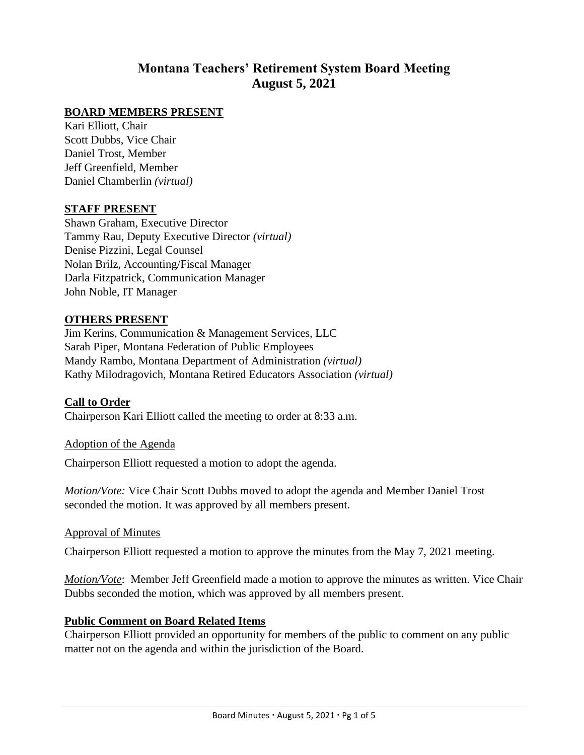# **Montana Teachers' Retirement System Board Meeting August 5, 2021**

### **BOARD MEMBERS PRESENT**

Kari Elliott, Chair Scott Dubbs, Vice Chair Daniel Trost, Member Jeff Greenfield, Member Daniel Chamberlin *(virtual)*

#### **STAFF PRESENT**

Shawn Graham, Executive Director Tammy Rau, Deputy Executive Director *(virtual)* Denise Pizzini, Legal Counsel Nolan Brilz, Accounting/Fiscal Manager Darla Fitzpatrick, Communication Manager John Noble, IT Manager

#### **OTHERS PRESENT**

Jim Kerins, Communication & Management Services, LLC Sarah Piper, Montana Federation of Public Employees Mandy Rambo, Montana Department of Administration *(virtual)* Kathy Milodragovich, Montana Retired Educators Association *(virtual)*

#### **Call to Order**

Chairperson Kari Elliott called the meeting to order at 8:33 a.m.

#### Adoption of the Agenda

Chairperson Elliott requested a motion to adopt the agenda.

*Motion/Vote:* Vice Chair Scott Dubbs moved to adopt the agenda and Member Daniel Trost seconded the motion. It was approved by all members present.

#### Approval of Minutes

Chairperson Elliott requested a motion to approve the minutes from the May 7, 2021 meeting.

*Motion/Vote*: Member Jeff Greenfield made a motion to approve the minutes as written. Vice Chair Dubbs seconded the motion, which was approved by all members present.

#### **Public Comment on Board Related Items**

Chairperson Elliott provided an opportunity for members of the public to comment on any public matter not on the agenda and within the jurisdiction of the Board.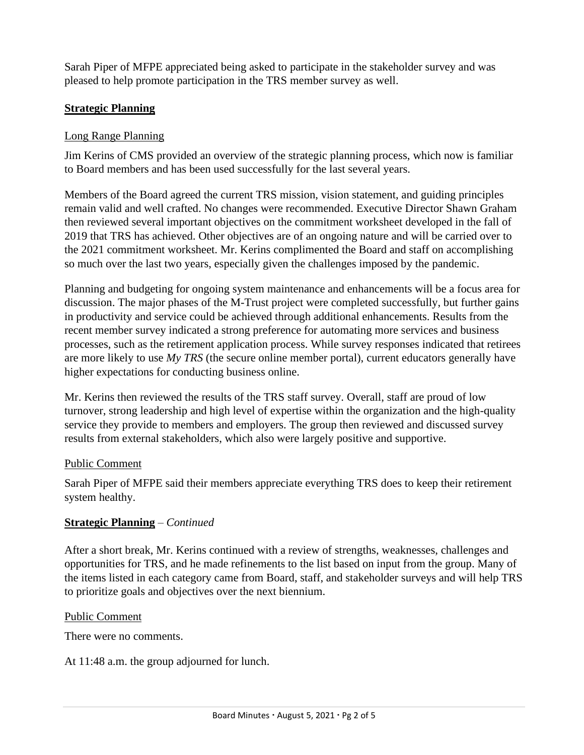Sarah Piper of MFPE appreciated being asked to participate in the stakeholder survey and was pleased to help promote participation in the TRS member survey as well.

# **Strategic Planning**

### Long Range Planning

Jim Kerins of CMS provided an overview of the strategic planning process, which now is familiar to Board members and has been used successfully for the last several years.

Members of the Board agreed the current TRS mission, vision statement, and guiding principles remain valid and well crafted. No changes were recommended. Executive Director Shawn Graham then reviewed several important objectives on the commitment worksheet developed in the fall of 2019 that TRS has achieved. Other objectives are of an ongoing nature and will be carried over to the 2021 commitment worksheet. Mr. Kerins complimented the Board and staff on accomplishing so much over the last two years, especially given the challenges imposed by the pandemic.

Planning and budgeting for ongoing system maintenance and enhancements will be a focus area for discussion. The major phases of the M-Trust project were completed successfully, but further gains in productivity and service could be achieved through additional enhancements. Results from the recent member survey indicated a strong preference for automating more services and business processes, such as the retirement application process. While survey responses indicated that retirees are more likely to use *My TRS* (the secure online member portal), current educators generally have higher expectations for conducting business online.

Mr. Kerins then reviewed the results of the TRS staff survey. Overall, staff are proud of low turnover, strong leadership and high level of expertise within the organization and the high-quality service they provide to members and employers. The group then reviewed and discussed survey results from external stakeholders, which also were largely positive and supportive.

### Public Comment

Sarah Piper of MFPE said their members appreciate everything TRS does to keep their retirement system healthy.

### **Strategic Planning** – *Continued*

After a short break, Mr. Kerins continued with a review of strengths, weaknesses, challenges and opportunities for TRS, and he made refinements to the list based on input from the group. Many of the items listed in each category came from Board, staff, and stakeholder surveys and will help TRS to prioritize goals and objectives over the next biennium.

### Public Comment

There were no comments.

At 11:48 a.m. the group adjourned for lunch.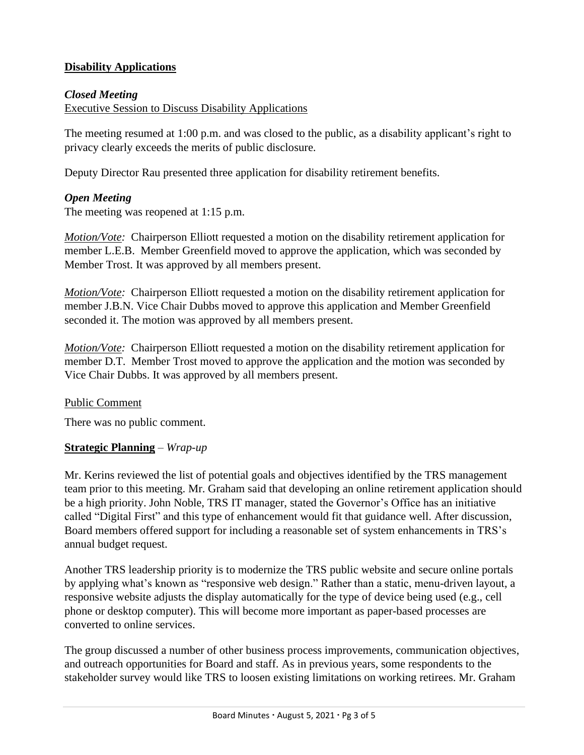# **Disability Applications**

### *Closed Meeting*

Executive Session to Discuss Disability Applications

The meeting resumed at 1:00 p.m. and was closed to the public, as a disability applicant's right to privacy clearly exceeds the merits of public disclosure.

Deputy Director Rau presented three application for disability retirement benefits.

# *Open Meeting*

The meeting was reopened at 1:15 p.m.

*Motion/Vote:* Chairperson Elliott requested a motion on the disability retirement application for member L.E.B. Member Greenfield moved to approve the application, which was seconded by Member Trost. It was approved by all members present.

*Motion/Vote:* Chairperson Elliott requested a motion on the disability retirement application for member J.B.N. Vice Chair Dubbs moved to approve this application and Member Greenfield seconded it. The motion was approved by all members present.

*Motion/Vote:* Chairperson Elliott requested a motion on the disability retirement application for member D.T. Member Trost moved to approve the application and the motion was seconded by Vice Chair Dubbs. It was approved by all members present.

### Public Comment

There was no public comment.

### **Strategic Planning** – *Wrap-up*

Mr. Kerins reviewed the list of potential goals and objectives identified by the TRS management team prior to this meeting. Mr. Graham said that developing an online retirement application should be a high priority. John Noble, TRS IT manager, stated the Governor's Office has an initiative called "Digital First" and this type of enhancement would fit that guidance well. After discussion, Board members offered support for including a reasonable set of system enhancements in TRS's annual budget request.

Another TRS leadership priority is to modernize the TRS public website and secure online portals by applying what's known as "responsive web design." Rather than a static, menu-driven layout, a responsive website adjusts the display automatically for the type of device being used (e.g., cell phone or desktop computer). This will become more important as paper-based processes are converted to online services.

The group discussed a number of other business process improvements, communication objectives, and outreach opportunities for Board and staff. As in previous years, some respondents to the stakeholder survey would like TRS to loosen existing limitations on working retirees. Mr. Graham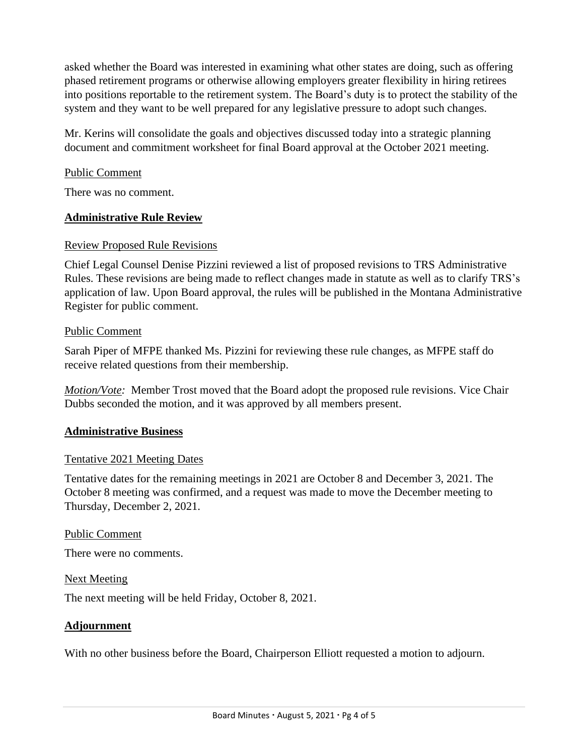asked whether the Board was interested in examining what other states are doing, such as offering phased retirement programs or otherwise allowing employers greater flexibility in hiring retirees into positions reportable to the retirement system. The Board's duty is to protect the stability of the system and they want to be well prepared for any legislative pressure to adopt such changes.

Mr. Kerins will consolidate the goals and objectives discussed today into a strategic planning document and commitment worksheet for final Board approval at the October 2021 meeting.

### Public Comment

There was no comment.

### **Administrative Rule Review**

#### Review Proposed Rule Revisions

Chief Legal Counsel Denise Pizzini reviewed a list of proposed revisions to TRS Administrative Rules. These revisions are being made to reflect changes made in statute as well as to clarify TRS's application of law. Upon Board approval, the rules will be published in the Montana Administrative Register for public comment.

#### Public Comment

Sarah Piper of MFPE thanked Ms. Pizzini for reviewing these rule changes, as MFPE staff do receive related questions from their membership.

*Motion/Vote:* Member Trost moved that the Board adopt the proposed rule revisions. Vice Chair Dubbs seconded the motion, and it was approved by all members present.

### **Administrative Business**

### Tentative 2021 Meeting Dates

Tentative dates for the remaining meetings in 2021 are October 8 and December 3, 2021. The October 8 meeting was confirmed, and a request was made to move the December meeting to Thursday, December 2, 2021.

#### Public Comment

There were no comments.

#### Next Meeting

The next meeting will be held Friday, October 8, 2021.

#### **Adjournment**

With no other business before the Board, Chairperson Elliott requested a motion to adjourn.